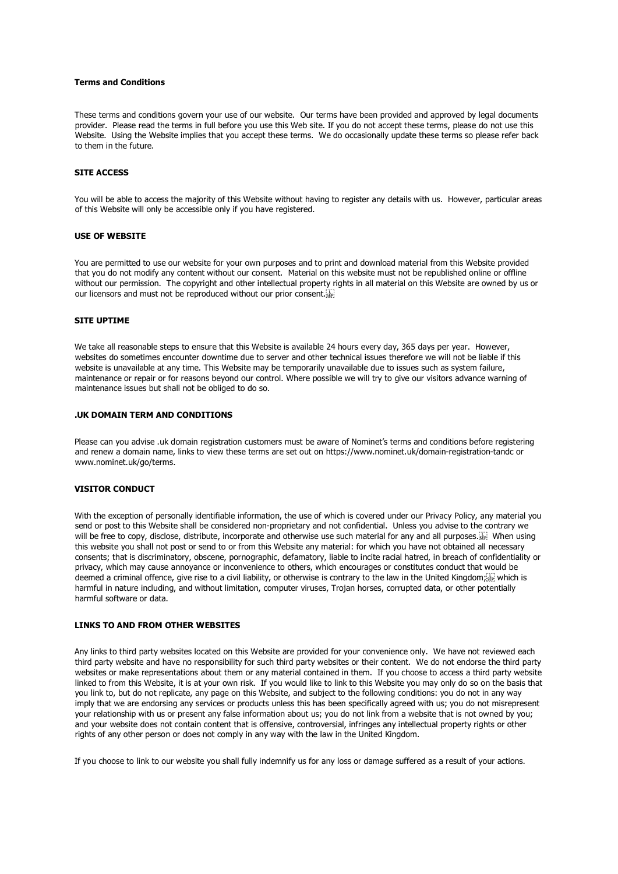### **Terms and Conditions**

These terms and conditions govern your use of our website. Our terms have been provided and approved by legal documents provider. Please read the terms in full before you use this Web site. If you do not accept these terms, please do not use this Website. Using the Website implies that you accept these terms. We do occasionally update these terms so please refer back to them in the future.

## **SITE ACCESS**

You will be able to access the majority of this Website without having to register any details with us. However, particular areas of this Website will only be accessible only if you have registered.

### **USE OF WEBSITE**

You are permitted to use our website for your own purposes and to print and download material from this Website provided that you do not modify any content without our consent. Material on this website must not be republished online or offline without our permission. The copyright and other intellectual property rights in all material on this Website are owned by us or our licensors and must not be reproduced without our prior consent.

## **SITE UPTIME**

We take all reasonable steps to ensure that this Website is available 24 hours every day, 365 days per year. However, websites do sometimes encounter downtime due to server and other technical issues therefore we will not be liable if this website is unavailable at any time. This Website may be temporarily unavailable due to issues such as system failure, maintenance or repair or for reasons beyond our control. Where possible we will try to give our visitors advance warning of maintenance issues but shall not be obliged to do so.

# **.UK DOMAIN TERM AND CONDITIONS**

Please can you advise .uk domain registration customers must be aware of Nominet's terms and conditions before registering and renew a domain name, links to view these terms are set out on https://www.nominet.uk/domain-registration-tandc or www.nominet.uk/go/terms.

#### **VISITOR CONDUCT**

With the exception of personally identifiable information, the use of which is covered under our Privacy Policy, any material you send or post to this Website shall be considered non-proprietary and not confidential. Unless you advise to the contrary we will be free to copy, disclose, distribute, incorporate and otherwise use such material for any and all purposes. this website you shall not post or send to or from this Website any material: for which you have not obtained all necessary consents; that is discriminatory, obscene, pornographic, defamatory, liable to incite racial hatred, in breach of confidentiality or privacy, which may cause annoyance or inconvenience to others, which encourages or constitutes conduct that would be deemed a criminal offence, give rise to a civil liability, or otherwise is contrary to the law in the United Kingdom; harmful in nature including, and without limitation, computer viruses, Trojan horses, corrupted data, or other potentially harmful software or data.

# **LINKS TO AND FROM OTHER WEBSITES**

Any links to third party websites located on this Website are provided for your convenience only. We have not reviewed each third party website and have no responsibility for such third party websites or their content. We do not endorse the third party websites or make representations about them or any material contained in them. If you choose to access a third party website linked to from this Website, it is at your own risk. If you would like to link to this Website you may only do so on the basis that you link to, but do not replicate, any page on this Website, and subject to the following conditions: you do not in any way imply that we are endorsing any services or products unless this has been specifically agreed with us; you do not misrepresent your relationship with us or present any false information about us; you do not link from a website that is not owned by you; and your website does not contain content that is offensive, controversial, infringes any intellectual property rights or other rights of any other person or does not comply in any way with the law in the United Kingdom.

If you choose to link to our website you shall fully indemnify us for any loss or damage suffered as a result of your actions.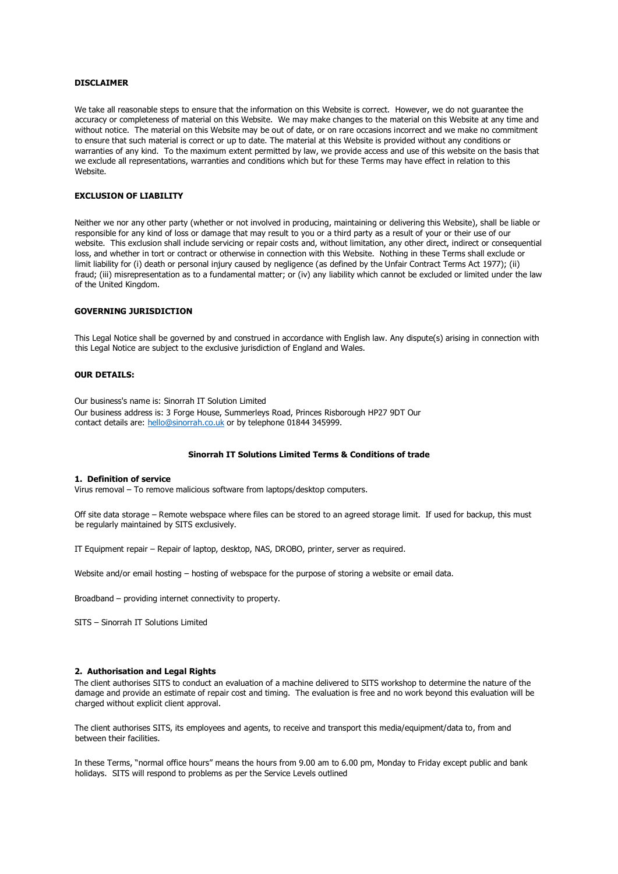## **DISCLAIMER**

We take all reasonable steps to ensure that the information on this Website is correct. However, we do not guarantee the accuracy or completeness of material on this Website. We may make changes to the material on this Website at any time and without notice. The material on this Website may be out of date, or on rare occasions incorrect and we make no commitment to ensure that such material is correct or up to date. The material at this Website is provided without any conditions or warranties of any kind. To the maximum extent permitted by law, we provide access and use of this website on the basis that we exclude all representations, warranties and conditions which but for these Terms may have effect in relation to this Website.

# **EXCLUSION OF LIABILITY**

Neither we nor any other party (whether or not involved in producing, maintaining or delivering this Website), shall be liable or responsible for any kind of loss or damage that may result to you or a third party as a result of your or their use of our website. This exclusion shall include servicing or repair costs and, without limitation, any other direct, indirect or consequential loss, and whether in tort or contract or otherwise in connection with this Website. Nothing in these Terms shall exclude or limit liability for (i) death or personal injury caused by negligence (as defined by the Unfair Contract Terms Act 1977); (ii) fraud; (iii) misrepresentation as to a fundamental matter; or (iv) any liability which cannot be excluded or limited under the law of the United Kingdom.

# **GOVERNING JURISDICTION**

This Legal Notice shall be governed by and construed in accordance with English law. Any dispute(s) arising in connection with this Legal Notice are subject to the exclusive jurisdiction of England and Wales.

## **OUR DETAILS:**

Our business's name is: Sinorrah IT Solution Limited Our business address is: 3 Forge House, Summerleys Road, Princes Risborough HP27 9DT Our contact details are: hello@sinorrah.co.uk or by telephone 01844 345999.

### **Sinorrah IT Solutions Limited Terms & Conditions of trade**

## **1. Definition of service**

Virus removal – To remove malicious software from laptops/desktop computers.

Off site data storage – Remote webspace where files can be stored to an agreed storage limit. If used for backup, this must be regularly maintained by SITS exclusively.

IT Equipment repair – Repair of laptop, desktop, NAS, DROBO, printer, server as required.

Website and/or email hosting – hosting of webspace for the purpose of storing a website or email data.

Broadband – providing internet connectivity to property.

SITS – Sinorrah IT Solutions Limited

### **2. Authorisation and Legal Rights**

The client authorises SITS to conduct an evaluation of a machine delivered to SITS workshop to determine the nature of the damage and provide an estimate of repair cost and timing. The evaluation is free and no work beyond this evaluation will be charged without explicit client approval.

The client authorises SITS, its employees and agents, to receive and transport this media/equipment/data to, from and between their facilities.

In these Terms, "normal office hours" means the hours from 9.00 am to 6.00 pm, Monday to Friday except public and bank holidays. SITS will respond to problems as per the Service Levels outlined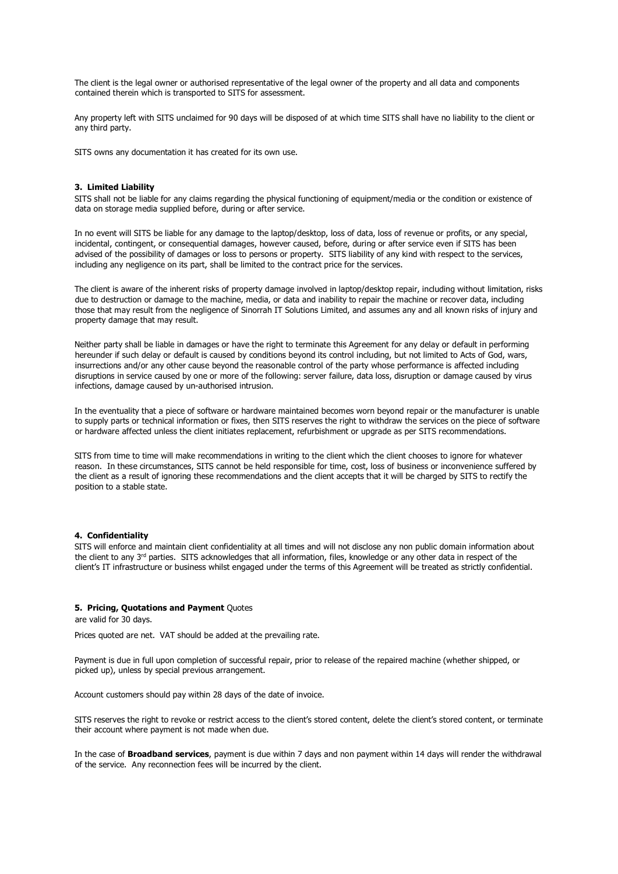The client is the legal owner or authorised representative of the legal owner of the property and all data and components contained therein which is transported to SITS for assessment.

Any property left with SITS unclaimed for 90 days will be disposed of at which time SITS shall have no liability to the client or any third party.

SITS owns any documentation it has created for its own use.

### **3. Limited Liability**

SITS shall not be liable for any claims regarding the physical functioning of equipment/media or the condition or existence of data on storage media supplied before, during or after service.

In no event will SITS be liable for any damage to the laptop/desktop, loss of data, loss of revenue or profits, or any special, incidental, contingent, or consequential damages, however caused, before, during or after service even if SITS has been advised of the possibility of damages or loss to persons or property. SITS liability of any kind with respect to the services, including any negligence on its part, shall be limited to the contract price for the services.

The client is aware of the inherent risks of property damage involved in laptop/desktop repair, including without limitation, risks due to destruction or damage to the machine, media, or data and inability to repair the machine or recover data, including those that may result from the negligence of Sinorrah IT Solutions Limited, and assumes any and all known risks of injury and property damage that may result.

Neither party shall be liable in damages or have the right to terminate this Agreement for any delay or default in performing hereunder if such delay or default is caused by conditions beyond its control including, but not limited to Acts of God, wars, insurrections and/or any other cause beyond the reasonable control of the party whose performance is affected including disruptions in service caused by one or more of the following: server failure, data loss, disruption or damage caused by virus infections, damage caused by un-authorised intrusion.

In the eventuality that a piece of software or hardware maintained becomes worn beyond repair or the manufacturer is unable to supply parts or technical information or fixes, then SITS reserves the right to withdraw the services on the piece of software or hardware affected unless the client initiates replacement, refurbishment or upgrade as per SITS recommendations.

SITS from time to time will make recommendations in writing to the client which the client chooses to ignore for whatever reason. In these circumstances, SITS cannot be held responsible for time, cost, loss of business or inconvenience suffered by the client as a result of ignoring these recommendations and the client accepts that it will be charged by SITS to rectify the position to a stable state.

#### **4. Confidentiality**

SITS will enforce and maintain client confidentiality at all times and will not disclose any non public domain information about the client to any 3<sup>rd</sup> parties. SITS acknowledges that all information, files, knowledge or any other data in respect of the client's IT infrastructure or business whilst engaged under the terms of this Agreement will be treated as strictly confidential.

#### **5. Pricing, Quotations and Payment** Quotes

are valid for 30 days.

Prices quoted are net. VAT should be added at the prevailing rate.

Payment is due in full upon completion of successful repair, prior to release of the repaired machine (whether shipped, or picked up), unless by special previous arrangement.

Account customers should pay within 28 days of the date of invoice.

SITS reserves the right to revoke or restrict access to the client's stored content, delete the client's stored content, or terminate their account where payment is not made when due.

In the case of **Broadband services**, payment is due within 7 days and non payment within 14 days will render the withdrawal of the service. Any reconnection fees will be incurred by the client.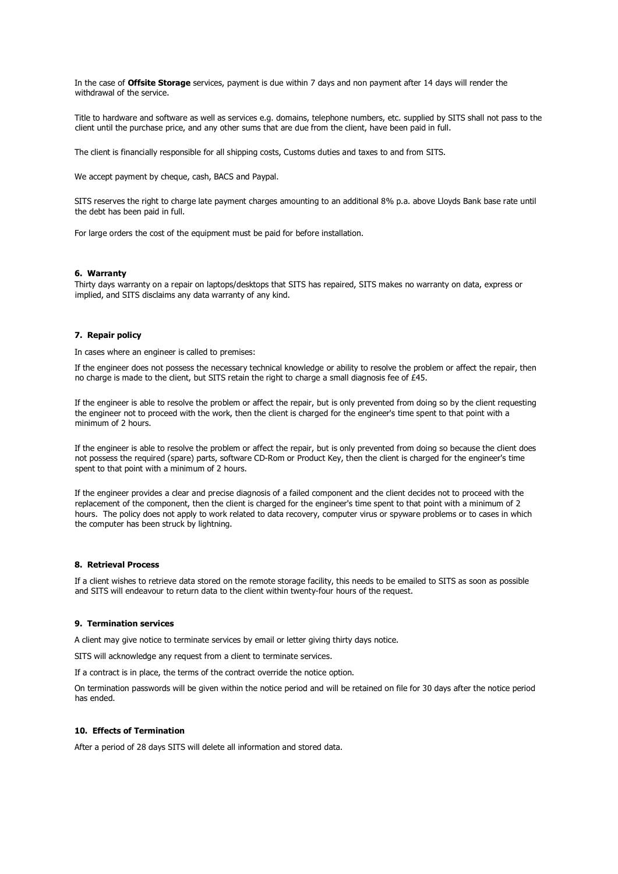In the case of **Offsite Storage** services, payment is due within 7 days and non payment after 14 days will render the withdrawal of the service.

Title to hardware and software as well as services e.g. domains, telephone numbers, etc. supplied by SITS shall not pass to the client until the purchase price, and any other sums that are due from the client, have been paid in full.

The client is financially responsible for all shipping costs, Customs duties and taxes to and from SITS.

We accept payment by cheque, cash, BACS and Paypal.

SITS reserves the right to charge late payment charges amounting to an additional 8% p.a. above Lloyds Bank base rate until the debt has been paid in full.

For large orders the cost of the equipment must be paid for before installation.

### **6. Warranty**

Thirty days warranty on a repair on laptops/desktops that SITS has repaired, SITS makes no warranty on data, express or implied, and SITS disclaims any data warranty of any kind.

# **7. Repair policy**

In cases where an engineer is called to premises:

If the engineer does not possess the necessary technical knowledge or ability to resolve the problem or affect the repair, then no charge is made to the client, but SITS retain the right to charge a small diagnosis fee of £45.

If the engineer is able to resolve the problem or affect the repair, but is only prevented from doing so by the client requesting the engineer not to proceed with the work, then the client is charged for the engineer's time spent to that point with a minimum of 2 hours.

If the engineer is able to resolve the problem or affect the repair, but is only prevented from doing so because the client does not possess the required (spare) parts, software CD-Rom or Product Key, then the client is charged for the engineer's time spent to that point with a minimum of 2 hours.

If the engineer provides a clear and precise diagnosis of a failed component and the client decides not to proceed with the replacement of the component, then the client is charged for the engineer's time spent to that point with a minimum of 2 hours. The policy does not apply to work related to data recovery, computer virus or spyware problems or to cases in which the computer has been struck by lightning.

# **8. Retrieval Process**

If a client wishes to retrieve data stored on the remote storage facility, this needs to be emailed to SITS as soon as possible and SITS will endeavour to return data to the client within twenty-four hours of the request.

### **9. Termination services**

A client may give notice to terminate services by email or letter giving thirty days notice.

SITS will acknowledge any request from a client to terminate services.

If a contract is in place, the terms of the contract override the notice option.

On termination passwords will be given within the notice period and will be retained on file for 30 days after the notice period has ended.

# **10. Effects of Termination**

After a period of 28 days SITS will delete all information and stored data.